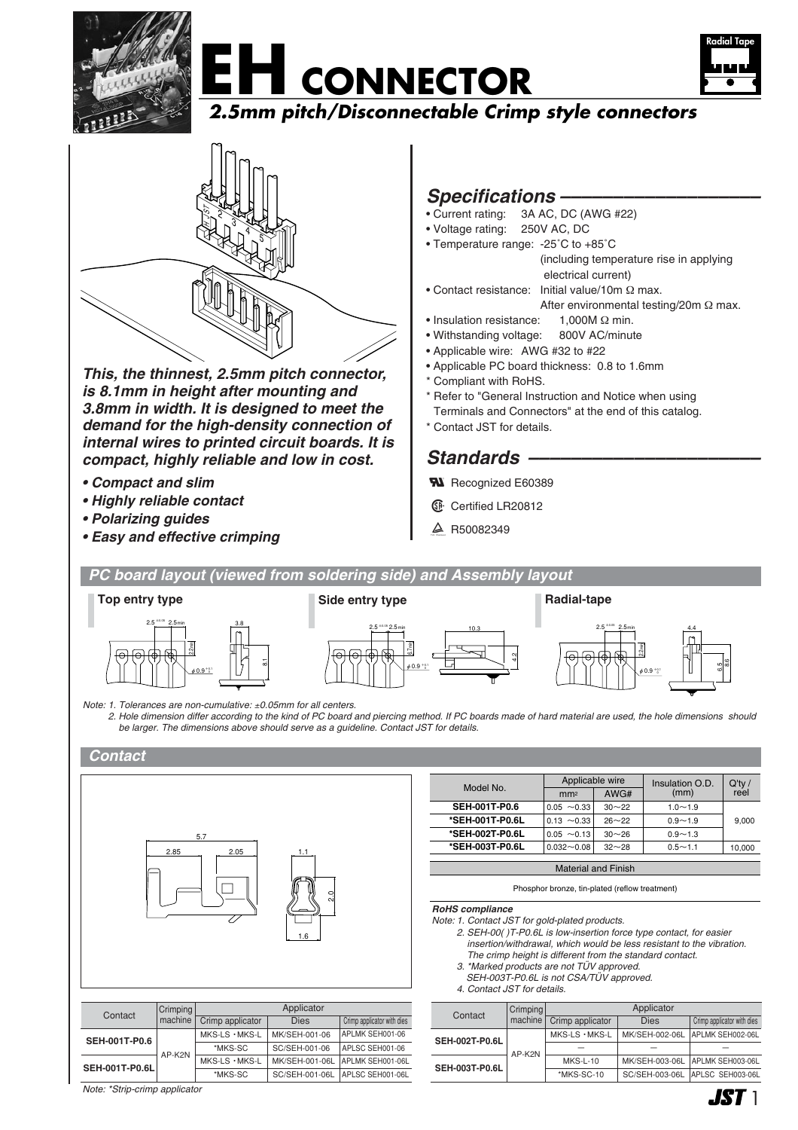







*This, the thinnest, 2.5mm pitch connector, is 8.1mm in height after mounting and 3.8mm in width. It is designed to meet the demand for the high-density connection of internal wires to printed circuit boards. It is compact, highly reliable and low in cost.*

- *Compact and slim*
- *Highly reliable contact*
- *Polarizing guides*
- *Easy and effective crimping*

## *Specifications –––––––––––––––––––*

- Current rating: 3A AC, DC (AWG #22)
- Voltage rating: 250V AC, DC
- Temperature range: -25˚C to +85˚C (including temperature rise in applying electrical current)
- Contact resistance: Initial value/10m Ω max.
	- After environmental testing/20m Ω max.
- Insulation resistance: 1,000M Ω min.
- Withstanding voltage: 800V AC/minute
- Applicable wire: AWG #32 to #22
- Applicable PC board thickness: 0.8 to 1.6mm
- Compliant with RoHS.
- \* Refer to "General Instruction and Notice when using Terminals and Connectors" at the end of this catalog.
- \* Contact JST for details.

## Standards –

- **W** Recognized E60389
- **6** Certified LR20812
- $\triangle$  R50082349



*2. Hole dimension differ according to the kind of PC board and piercing method. If PC boards made of hard material are used, the hole dimensions should be larger. The dimensions above should serve as a guideline. Contact JST for details.*

#### *Contact*



Contact Crimping<br>
machine Crimp applicator Dies Crimp applicator with dies

MKS-LS・MKS-L \*MKS-SC

\*MKS-SC

**Applicator** 

MK/SEH-001-06 SC/SEH-001-06

APLMK SEH001-06 APLSC SEH001-06 APLMK SEH001-06L APLSC SEH001-06L

MK/SEH-001-06L SC/SEH-001-06L

|  | Model No.                  | Applicable wire  |           | Insulation O.D. | $Q'$ ty / |
|--|----------------------------|------------------|-----------|-----------------|-----------|
|  |                            | mm <sup>2</sup>  | AWG#      | (mm)            | reel      |
|  | <b>SEH-001T-P0.6</b>       | $0.05 \sim 0.33$ | $30 - 22$ | $1.0 - 1.9$     |           |
|  | *SEH-001T-P0.6L            | $0.13 \sim 0.33$ | $26 - 22$ | $0.9 - 1.9$     | 9,000     |
|  | *SEH-002T-P0.6L            | $0.05 \sim 0.13$ | $30 - 26$ | $0.9 - 1.3$     |           |
|  | *SEH-003T-P0.6L            | $0.032 - 0.08$   | $32 - 28$ | $0.5 - 1.1$     | 10.000    |
|  |                            |                  |           |                 |           |
|  | <b>Material and Finish</b> |                  |           |                 |           |

#### Phosphor bronze, tin-plated (reflow treatment)

*RoHS compliance*

- *Note: 1. Contact JST for gold-plated products.*
	- *2. SEH-00( )T-P0.6L is low-insertion force type contact, for easier insertion/withdrawal, which would be less resistant to the vibration.*
	- *The crimp height is different from the standard contact. 3. \*Marked products are not TÜV approved.*
	- *SEH-003T-P0.6L is not CSA/TÜV approved.*
	- *4. Contact JST for details.*

|  | Contact               | Crimping<br>machine | Applicator              |                |                                   |  |
|--|-----------------------|---------------------|-------------------------|----------------|-----------------------------------|--|
|  |                       |                     | Crimp applicator        | <b>Dies</b>    | Crimp applicator with dies        |  |
|  | <b>SEH-002T-P0.6L</b> | AP-K2N              | $MKS$ -LS $\cdot$ MKS-L | MK/SEH-002-06L | APLMK SEH002-06L                  |  |
|  |                       |                     |                         |                |                                   |  |
|  | <b>SEH-003T-P0.6L</b> |                     | <b>MKS-L-10</b>         |                | MK/SEH-003-06L   APLMK SEH003-06L |  |
|  |                       |                     | *MKS-SC-10              | SC/SEH-003-06L | APLSC SEH003-06L                  |  |

*Note: \*Strip-crimp applicator*

AP-K2N

**Crimping** machine

SEH-001T-P0.6L MKS-LS · MKS-LS

**SEH-001T-P0.6**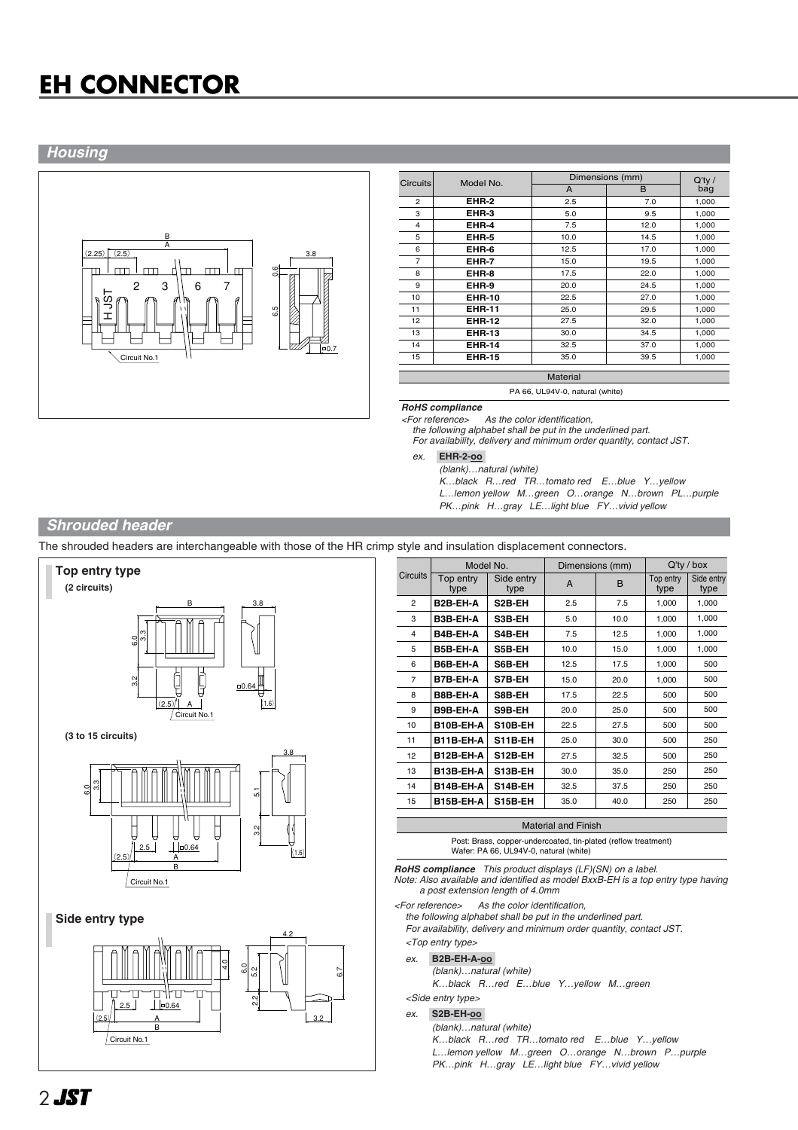# **EH CONNECTOR**

## *Housing*



| Circuits       | Model No.     |      | Dimensions (mm) |                  |  |
|----------------|---------------|------|-----------------|------------------|--|
|                |               | A    | B               | $Q'$ ty /<br>bag |  |
| $\overline{c}$ | EHR-2         | 2.5  | 7.0             | 1,000            |  |
| 3              | EHR-3         | 5.0  | 9.5             | 1,000            |  |
| 4              | EHR-4         | 7.5  | 12.0            | 1,000            |  |
| 5              | EHR-5         | 10.0 | 14.5            | 1,000            |  |
| 6              | EHR-6         | 12.5 | 17.0            | 1,000            |  |
| $\overline{7}$ | EHR-7         | 15.0 | 19.5            | 1,000            |  |
| 8              | EHR-8         | 17.5 | 22.0            | 1,000            |  |
| 9              | EHR-9         | 20.0 | 24.5            | 1,000            |  |
| 10             | <b>EHR-10</b> | 22.5 | 27.0            | 1,000            |  |
| 11             | <b>EHR-11</b> | 25.0 | 29.5            | 1,000            |  |
| 12             | <b>EHR-12</b> | 27.5 | 32.0            | 1,000            |  |
| 13             | <b>EHR-13</b> | 30.0 | 34.5            | 1,000            |  |
| 14             | <b>EHR-14</b> | 32.5 | 37.0            | 1,000            |  |
| 15             | <b>EHR-15</b> | 35.0 | 39.5            | 1,000            |  |

PA 66, UL94V-0, natural (white)

*RoHS compliance*

As the color identification

*the following alphabet shall be put in the underlined part. For availability, delivery and minimum order quantity, contact JST.*

*ex.* **EHR-2-oo-**

*(blank)…natural (white)*

*K…black R…red TR…tomato red E…blue Y…yellow L…lemon yellow M…green O…orange N…brown PL…purple*

*PK…pink H…gray LE…light blue FY…vivid yellow* 

## *Shrouded header*

The shrouded headers are interchangeable with those of the HR crimp style and insulation displacement connectors.



|                 | Model No.         |                    | Dimensions (mm) |      | $Q'$ ty / box     |                    |
|-----------------|-------------------|--------------------|-----------------|------|-------------------|--------------------|
| <b>Circuits</b> | Top entry<br>type | Side entry<br>type | A               | B    | Top entry<br>type | Side entry<br>type |
| $\overline{2}$  | B2B-EH-A          | S2B-EH             | 2.5             | 7.5  | 1,000             | 1,000              |
| 3               | B3B-EH-A          | S3B-EH             | 5.0             | 10.0 | 1,000             | 1,000              |
| 4               | B4B-EH-A          | S4B-EH             | 7.5             | 12.5 | 1,000             | 1,000              |
| 5               | B5B-EH-A          | S5B-EH             | 10.0            | 15.0 | 1,000             | 1,000              |
| 6               | B6B-EH-A          | S6B-EH             | 12.5            | 17.5 | 1,000             | 500                |
| $\overline{7}$  | B7B-EH-A          | S7B-EH             | 15.0            | 20.0 | 1,000             | 500                |
| 8               | B8B-EH-A          | S8B-EH             | 17.5            | 22.5 | 500               | 500                |
| 9               | B9B-EH-A          | S9B-EH             | 20.0            | 25.0 | 500               | 500                |
| 10              | B10B-EH-A         | S10B-EH            | 22.5            | 27.5 | 500               | 500                |
| 11              | B11B-EH-A         | S11B-EH            | 25.0            | 30.0 | 500               | 250                |
| 12              | B12B-EH-A         | S12B-EH            | 27.5            | 32.5 | 500               | 250                |
| 13              | B13B-EH-A         | S13B-EH            | 30.0            | 35.0 | 250               | 250                |
| 14              | B14B-EH-A         | S14B-EH            | 32.5            | 37.5 | 250               | 250                |
| 15              | B15B-EH-A         | S15B-EH            | 35.0            | 40.0 | 250               | 250                |
|                 |                   |                    |                 |      |                   |                    |

Material and Finish

Post: Brass, copper-undercoated, tin-plated (reflow treatment) Wafer: PA 66, UL94V-0, natural (white)

*RoHS compliance This product displays (LF)(SN) on a label.*

*Note: Also available and identified as model BxxB-EH is a top entry type having a post extension length of 4.0mm*

*<For reference> As the color identification,* 

*the following alphabet shall be put in the underlined part.*

*For availability, delivery and minimum order quantity, contact JST. <Top entry type>*

## *ex.* **B2B-EH-A-oo-**

*(blank)…natural (white) K…black R…red E…blue Y…yellow M…green*

*<Side entry type>*

*ex.* **S2B-EH-oo-**

#### *(blank)…natural (white)*

*K…black R…red TR…tomato red E…blue Y…yellow L…lemon yellow M…green O…orange N…brown P…purple PK…pink H…gray LE…light blue FY…vivid yellow*